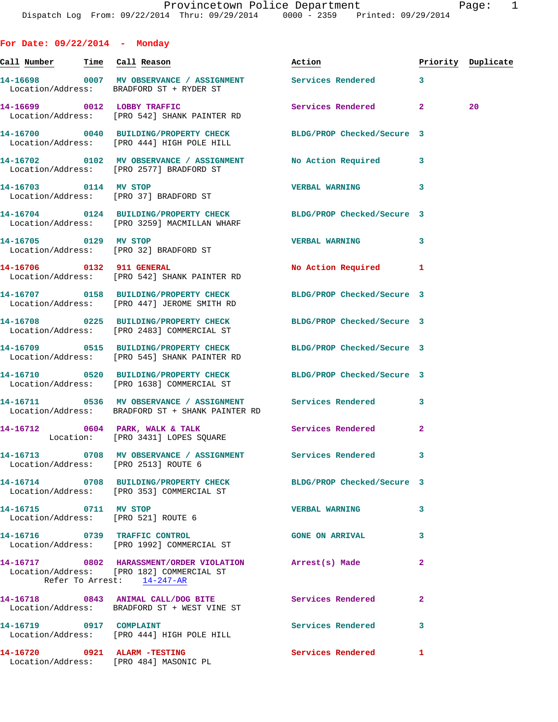**For Date: 09/22/2014 - Monday Call Number Time Call Reason Action Priority Duplicate 14-16698 0007 MV OBSERVANCE / ASSIGNMENT Services Rendered 3**  Location/Address: BRADFORD ST + RYDER ST **14-16699 0012 LOBBY TRAFFIC Services Rendered 2 20**  Location/Address: [PRO 542] SHANK PAINTER RD **14-16700 0040 BUILDING/PROPERTY CHECK BLDG/PROP Checked/Secure 3**  Location/Address: [PRO 444] HIGH POLE HILL **14-16702 0102 MV OBSERVANCE / ASSIGNMENT No Action Required 3**  Location/Address: [PRO 2577] BRADFORD ST **14-16703 0114 MV STOP VERBAL WARNING 3**  Location/Address: [PRO 37] BRADFORD ST **14-16704 0124 BUILDING/PROPERTY CHECK BLDG/PROP Checked/Secure 3**  Location/Address: [PRO 3259] MACMILLAN WHARF **14-16705 0129 MV STOP VERBAL WARNING 3**  Location/Address: [PRO 32] BRADFORD ST **14-16706 0132 911 GENERAL No Action Required 1**  Location/Address: [PRO 542] SHANK PAINTER RD **14-16707 0158 BUILDING/PROPERTY CHECK BLDG/PROP Checked/Secure 3**  Location/Address: [PRO 447] JEROME SMITH RD **14-16708 0225 BUILDING/PROPERTY CHECK BLDG/PROP Checked/Secure 3**  Location/Address: [PRO 2483] COMMERCIAL ST **14-16709 0515 BUILDING/PROPERTY CHECK BLDG/PROP Checked/Secure 3**  Location/Address: [PRO 545] SHANK PAINTER RD **14-16710 0520 BUILDING/PROPERTY CHECK BLDG/PROP Checked/Secure 3**  Location/Address: [PRO 1638] COMMERCIAL ST **14-16711 0536 MV OBSERVANCE / ASSIGNMENT Services Rendered 3**  Location/Address: BRADFORD ST + SHANK PAINTER RD 14-16712 0604 PARK, WALK & TALK Services Rendered 2 Location: [PRO 3431] LOPES SQUARE **14-16713 0708 MV OBSERVANCE / ASSIGNMENT Services Rendered 3**  Location/Address: [PRO 2513] ROUTE 6 **14-16714 0708 BUILDING/PROPERTY CHECK BLDG/PROP Checked/Secure 3**  Location/Address: [PRO 353] COMMERCIAL ST **14-16715 0711 MV STOP VERBAL WARNING 3**  Location/Address: [PRO 521] ROUTE 6 **14-16716 0739 TRAFFIC CONTROL GONE ON ARRIVAL 3**  Location/Address: [PRO 1992] COMMERCIAL ST **14-16717 0802 HARASSMENT/ORDER VIOLATION Arrest(s) Made 2**  Location/Address: [PRO 182] COMMERCIAL ST Refer To Arrest: 14-247-AR

**14-16718 0843 ANIMAL CALL/DOG BITE Services Rendered 2**  Location/Address: BRADFORD ST + WEST VINE ST 14-16719 0917 COMPLAINT **14-16719** Services Rendered 3 Location/Address: [PRO 444] HIGH POLE HILL **14-16720 0921 ALARM -TESTING Services Rendered 1**  Location/Address: [PRO 484] MASONIC PL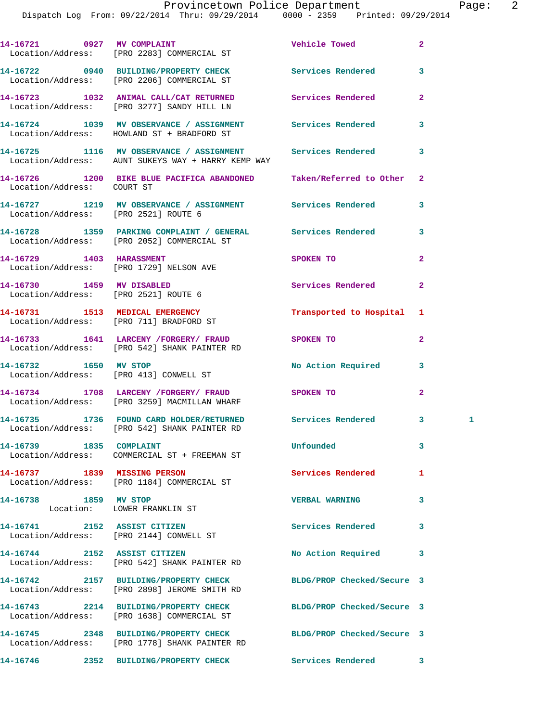|                              | 14-16721 0927 MV COMPLAINT<br>Location/Address: [PRO 2283] COMMERCIAL ST                                         | Vehicle Towed              | $\overline{2}$ |
|------------------------------|------------------------------------------------------------------------------------------------------------------|----------------------------|----------------|
|                              | 14-16722 0940 BUILDING/PROPERTY CHECK<br>Location/Address: [PRO 2206] COMMERCIAL ST                              | Services Rendered          | 3              |
|                              | 14-16723 1032 ANIMAL CALL/CAT RETURNED Services Rendered<br>Location/Address: [PRO 3277] SANDY HILL LN           |                            | $\mathbf{2}$   |
|                              | 14-16724 1039 MV OBSERVANCE / ASSIGNMENT Services Rendered<br>Location/Address: HOWLAND ST + BRADFORD ST         |                            | $\mathbf{3}$   |
|                              | 14-16725 1116 MV OBSERVANCE / ASSIGNMENT Services Rendered<br>Location/Address: AUNT SUKEYS WAY + HARRY KEMP WAY |                            | 3              |
| Location/Address: COURT ST   | 14-16726 1200 BIKE BLUE PACIFICA ABANDONED Taken/Referred to Other 2                                             |                            |                |
|                              | 14-16727 1219 MV OBSERVANCE / ASSIGNMENT Services Rendered<br>Location/Address: [PRO 2521] ROUTE 6               |                            | 3              |
|                              | 14-16728 1359 PARKING COMPLAINT / GENERAL Services Rendered<br>Location/Address: [PRO 2052] COMMERCIAL ST        |                            | 3              |
|                              | 14-16729 1403 HARASSMENT<br>Location/Address: [PRO 1729] NELSON AVE                                              | SPOKEN TO                  | $\mathbf{2}$   |
|                              | 14-16730 1459 MV DISABLED<br>Location/Address: [PRO 2521] ROUTE 6                                                | Services Rendered          | $\mathbf{2}$   |
|                              | 14-16731 1513 MEDICAL EMERGENCY<br>Location/Address: [PRO 711] BRADFORD ST                                       | Transported to Hospital 1  |                |
|                              | 14-16733 1641 LARCENY / FORGERY / FRAUD<br>Location/Address: [PRO 542] SHANK PAINTER RD                          | SPOKEN TO                  | $\mathbf{2}$   |
|                              | 14-16732 1650 MV STOP<br>Location/Address: [PRO 413] CONWELL ST                                                  | No Action Required 3       |                |
|                              | 14-16734 1708 LARCENY /FORGERY / FRAUD SPOKEN TO<br>Location/Address: [PRO 3259] MACMILLAN WHARF                 |                            | $\mathbf{2}$   |
|                              | 14-16735 1736 FOUND CARD HOLDER/RETURNED Services Rendered 3<br>Location/Address: [PRO 542] SHANK PAINTER RD     |                            | 1              |
| 14-16739 1835 COMPLAINT      | Location/Address: COMMERCIAL ST + FREEMAN ST                                                                     | Unfounded                  | 3              |
|                              | 14-16737 1839 MISSING PERSON<br>Location/Address: [PRO 1184] COMMERCIAL ST                                       | <b>Services Rendered</b>   | 1              |
| 14-16738 1859 MV STOP        | Location: LOWER FRANKLIN ST                                                                                      | <b>VERBAL WARNING</b>      | 3              |
|                              | 14-16741 2152 ASSIST CITIZEN<br>Location/Address: [PRO 2144] CONWELL ST                                          | <b>Services Rendered</b>   | 3              |
| 14-16744 2152 ASSIST CITIZEN | Location/Address: [PRO 542] SHANK PAINTER RD                                                                     | No Action Required         | 3              |
|                              | 14-16742 2157 BUILDING/PROPERTY CHECK<br>Location/Address: [PRO 2898] JEROME SMITH RD                            | BLDG/PROP Checked/Secure 3 |                |
|                              | 14-16743 2214 BUILDING/PROPERTY CHECK<br>Location/Address: [PRO 1638] COMMERCIAL ST                              | BLDG/PROP Checked/Secure 3 |                |
|                              | 14-16745 2348 BUILDING/PROPERTY CHECK<br>Location/Address: [PRO 1778] SHANK PAINTER RD                           | BLDG/PROP Checked/Secure 3 |                |
|                              | 14-16746 2352 BUILDING/PROPERTY CHECK                                                                            | <b>Services Rendered</b> 3 |                |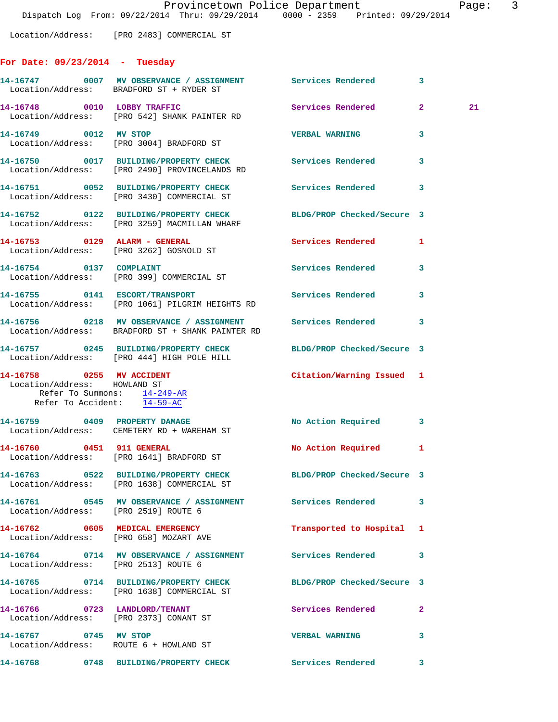Location/Address: [PRO 2483] COMMERCIAL ST

## **For Date: 09/23/2014 - Tuesday**

|                                                                                                                           | 14-16747 0007 MV OBSERVANCE / ASSIGNMENT Services Rendered<br>Location/Address: BRADFORD ST + RYDER ST           |                            | $\overline{\mathbf{3}}$ |    |
|---------------------------------------------------------------------------------------------------------------------------|------------------------------------------------------------------------------------------------------------------|----------------------------|-------------------------|----|
|                                                                                                                           | 14-16748 0010 LOBBY TRAFFIC<br>Location/Address: [PRO 542] SHANK PAINTER RD                                      | Services Rendered 2        |                         | 21 |
| 14-16749 0012 MV STOP                                                                                                     | Location/Address: [PRO 3004] BRADFORD ST                                                                         | <b>VERBAL WARNING</b>      | 3                       |    |
|                                                                                                                           | 14-16750 0017 BUILDING/PROPERTY CHECK Services Rendered<br>Location/Address: [PRO 2490] PROVINCELANDS RD         |                            | 3                       |    |
|                                                                                                                           | 14-16751 0052 BUILDING/PROPERTY CHECK Services Rendered<br>Location/Address: [PRO 3430] COMMERCIAL ST            |                            | 3                       |    |
|                                                                                                                           | 14-16752 0122 BUILDING/PROPERTY CHECK BLDG/PROP Checked/Secure 3<br>Location/Address: [PRO 3259] MACMILLAN WHARF |                            |                         |    |
|                                                                                                                           | 14-16753 0129 ALARM - GENERAL<br>Location/Address: [PRO 3262] GOSNOLD ST                                         | Services Rendered          | 1                       |    |
| 14-16754 0137 COMPLAINT                                                                                                   | Location/Address: [PRO 399] COMMERCIAL ST                                                                        | Services Rendered          | 3                       |    |
|                                                                                                                           | 14-16755 0141 ESCORT/TRANSPORT<br>Location/Address: [PRO 1061] PILGRIM HEIGHTS RD                                | Services Rendered          | 3                       |    |
|                                                                                                                           | 14-16756 0218 MV OBSERVANCE / ASSIGNMENT Services Rendered 3<br>Location/Address: BRADFORD ST + SHANK PAINTER RD |                            |                         |    |
|                                                                                                                           | 14-16757 0245 BUILDING/PROPERTY CHECK BLDG/PROP Checked/Secure 3<br>Location/Address: [PRO 444] HIGH POLE HILL   |                            |                         |    |
| $14-16758$ 0255 MV ACCIDENT<br>Location/Address: HOWLAND ST<br>Refer To Summons: 14-249-AR<br>Refer To Accident: 14-59-AC |                                                                                                                  | Citation/Warning Issued 1  |                         |    |
|                                                                                                                           | 14-16759 0409 PROPERTY DAMAGE<br>Location/Address: CEMETERY RD + WAREHAM ST                                      | No Action Required 3       |                         |    |
|                                                                                                                           | 14-16760 0451 911 GENERAL<br>Location/Address: [PRO 1641] BRADFORD ST                                            | <b>No Action Required</b>  | 1                       |    |
|                                                                                                                           | 14-16763 0522 BUILDING/PROPERTY CHECK BLDG/PROP Checked/Secure 3<br>Location/Address: [PRO 1638] COMMERCIAL ST   |                            |                         |    |
| Location/Address: [PRO 2519] ROUTE 6                                                                                      |                                                                                                                  |                            | 3                       |    |
|                                                                                                                           | 14-16762 0605 MEDICAL EMERGENCY<br>Location/Address: [PRO 658] MOZART AVE                                        | Transported to Hospital 1  |                         |    |
| Location/Address: [PRO 2513] ROUTE 6                                                                                      | 14-16764 0714 MV OBSERVANCE / ASSIGNMENT Services Rendered                                                       |                            | 3                       |    |
|                                                                                                                           | 14-16765 0714 BUILDING/PROPERTY CHECK<br>Location/Address: [PRO 1638] COMMERCIAL ST                              | BLDG/PROP Checked/Secure 3 |                         |    |
|                                                                                                                           | 14-16766 0723 LANDLORD/TENANT<br>Location/Address: [PRO 2373] CONANT ST                                          | Services Rendered          | $\mathbf{2}$            |    |
| 14-16767 0745 MV STOP                                                                                                     | Location/Address: ROUTE 6 + HOWLAND ST                                                                           | <b>VERBAL WARNING</b>      | 3                       |    |
|                                                                                                                           | 14-16768  0748 BUILDING/PROPERTY CHECK  Services Rendered                                                        |                            | 3                       |    |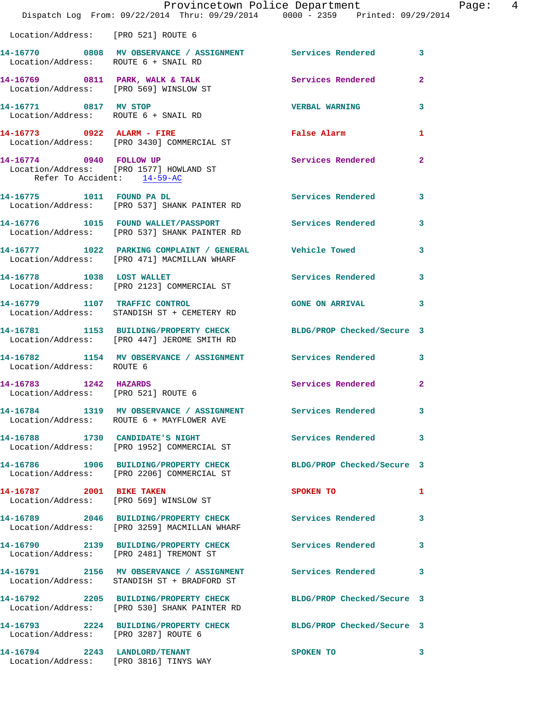|                                                              | Provincetown Police Department<br>Dispatch Log From: 09/22/2014 Thru: 09/29/2014 0000 - 2359 Printed: 09/29/2014 |                            |                |
|--------------------------------------------------------------|------------------------------------------------------------------------------------------------------------------|----------------------------|----------------|
| Location/Address: [PRO 521] ROUTE 6                          |                                                                                                                  |                            |                |
| Location/Address: ROUTE 6 + SNAIL RD                         | 14-16770 0808 MV OBSERVANCE / ASSIGNMENT Services Rendered                                                       |                            | 3              |
|                                                              | 14-16769 0811 PARK, WALK & TALK 3 Services Rendered<br>Location/Address: [PRO 569] WINSLOW ST                    |                            | $\mathbf{2}$   |
| 14-16771 0817 MV STOP                                        | Location/Address: ROUTE 6 + SNAIL RD                                                                             | <b>VERBAL WARNING</b>      | 3              |
|                                                              | 14-16773 0922 ALARM - FIRE<br>Location/Address: [PRO 3430] COMMERCIAL ST                                         | False Alarm                | 1              |
| 14-16774 0940 FOLLOW UP<br>Refer To Accident: 14-59-AC       | Location/Address: [PRO 1577] HOWLAND ST                                                                          | Services Rendered          | $\overline{a}$ |
|                                                              | 14-16775 1011 FOUND PA DL<br>Location/Address: [PRO 537] SHANK PAINTER RD                                        | Services Rendered          | 3              |
|                                                              | 14-16776 1015 FOUND WALLET/PASSPORT Services Rendered<br>Location/Address: [PRO 537] SHANK PAINTER RD            |                            | 3              |
|                                                              | 14-16777    1022    PARKING COMPLAINT / GENERAL    Vehicle Towed<br>Location/Address: [PRO 471] MACMILLAN WHARF  |                            | 3              |
| 14-16778 1038 LOST WALLET                                    | Location/Address: [PRO 2123] COMMERCIAL ST                                                                       | <b>Services Rendered</b>   | 3              |
|                                                              | 14-16779 1107 TRAFFIC CONTROL<br>Location/Address: STANDISH ST + CEMETERY RD                                     | <b>GONE ON ARRIVAL</b>     | 3              |
|                                                              | 14-16781 1153 BUILDING/PROPERTY CHECK BLDG/PROP Checked/Secure 3<br>Location/Address: [PRO 447] JEROME SMITH RD  |                            |                |
| Location/Address: ROUTE 6                                    | 14-16782 1154 MV OBSERVANCE / ASSIGNMENT Services Rendered                                                       |                            | 3              |
| 14-16783 1242 HAZARDS<br>Location/Address: [PRO 521] ROUTE 6 |                                                                                                                  | <b>Services Rendered</b>   | $\mathbf{2}$   |
|                                                              | 14-16784 1319 MV OBSERVANCE / ASSIGNMENT<br>Location/Address: ROUTE 6 + MAYFLOWER AVE                            | Services Rendered          | 3              |
|                                                              | 14-16788 1730 CANDIDATE'S NIGHT<br>Location/Address: [PRO 1952] COMMERCIAL ST                                    | <b>Services Rendered</b>   | 3              |
|                                                              | 14-16786 1906 BUILDING/PROPERTY CHECK<br>Location/Address: [PRO 2206] COMMERCIAL ST                              | BLDG/PROP Checked/Secure 3 |                |
| 14-16787 2001 BIKE TAKEN                                     | Location/Address: [PRO 569] WINSLOW ST                                                                           | SPOKEN TO                  | 1              |
|                                                              | 14-16789 2046 BUILDING/PROPERTY CHECK<br>Location/Address: [PRO 3259] MACMILLAN WHARF                            | <b>Services Rendered</b>   | 3              |
|                                                              | 14-16790 2139 BUILDING/PROPERTY CHECK<br>Location/Address: [PRO 2481] TREMONT ST                                 | Services Rendered          | 3              |
|                                                              | Location/Address: STANDISH ST + BRADFORD ST                                                                      |                            | 3              |
|                                                              | 14-16792 2205 BUILDING/PROPERTY CHECK<br>Location/Address: [PRO 530] SHANK PAINTER RD                            | BLDG/PROP Checked/Secure 3 |                |
| Location/Address: [PRO 3287] ROUTE 6                         | 14-16793 2224 BUILDING/PROPERTY CHECK                                                                            | BLDG/PROP Checked/Secure 3 |                |
| 14-16794 2243 LANDLORD/TENANT                                |                                                                                                                  | SPOKEN TO                  | 3              |

Location/Address: [PRO 3816] TINYS WAY

Page: 4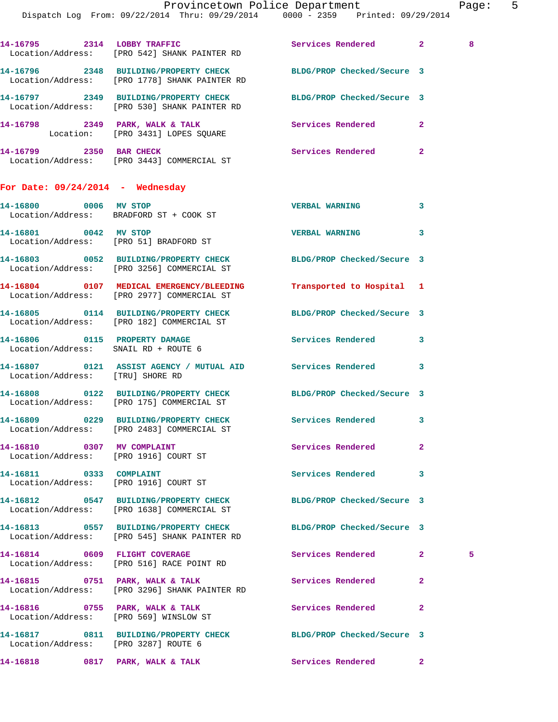|                                                                  | 14-16795 2314 LOBBY TRAFFIC<br>Location/Address: [PRO 542] SHANK PAINTER RD                                    | Services Rendered          | $2^{\circ}$    | $\overline{\phantom{0}}$ 8 |
|------------------------------------------------------------------|----------------------------------------------------------------------------------------------------------------|----------------------------|----------------|----------------------------|
|                                                                  | 14-16796 2348 BUILDING/PROPERTY CHECK<br>Location/Address: [PRO 1778] SHANK PAINTER RD                         | BLDG/PROP Checked/Secure 3 |                |                            |
|                                                                  | 14-16797 2349 BUILDING/PROPERTY CHECK<br>Location/Address: [PRO 530] SHANK PAINTER RD                          | BLDG/PROP Checked/Secure 3 |                |                            |
|                                                                  | 14-16798 2349 PARK, WALK & TALK Services Rendered<br>Location: [PRO 3431] LOPES SQUARE                         |                            | $\mathbf{2}$   |                            |
|                                                                  | 14-16799 2350 BAR CHECK<br>Location/Address: [PRO 3443] COMMERCIAL ST                                          | Services Rendered          | $\mathbf{2}$   |                            |
| For Date: $09/24/2014$ - Wednesday                               |                                                                                                                |                            |                |                            |
| 14-16800 0006 MV STOP<br>Location/Address: BRADFORD ST + COOK ST |                                                                                                                | <b>VERBAL WARNING</b>      | 3              |                            |
| 14-16801 0042 MV STOP                                            | Location/Address: [PRO 51] BRADFORD ST                                                                         | <b>VERBAL WARNING</b>      | 3              |                            |
|                                                                  | 14-16803 0052 BUILDING/PROPERTY CHECK BLDG/PROP Checked/Secure 3<br>Location/Address: [PRO 3256] COMMERCIAL ST |                            |                |                            |
|                                                                  | 14-16804 0107 MEDICAL EMERGENCY/BLEEDING<br>Location/Address: [PRO 2977] COMMERCIAL ST                         | Transported to Hospital 1  |                |                            |
|                                                                  | 14-16805 0114 BUILDING/PROPERTY CHECK BLDG/PROP Checked/Secure 3<br>Location/Address: [PRO 182] COMMERCIAL ST  |                            |                |                            |
| Location/Address: SNAIL RD + ROUTE 6                             | 14-16806 0115 PROPERTY DAMAGE                                                                                  | Services Rendered          | 3              |                            |
| Location/Address: [TRU] SHORE RD                                 | 14-16807 0121 ASSIST AGENCY / MUTUAL AID Services Rendered                                                     |                            | 3              |                            |
|                                                                  | 14-16808 0122 BUILDING/PROPERTY CHECK BLDG/PROP Checked/Secure 3<br>Location/Address: [PRO 175] COMMERCIAL ST  |                            |                |                            |
|                                                                  | 14-16809 0229 BUILDING/PROPERTY CHECK<br>Location/Address: [PRO 2483] COMMERCIAL ST                            | Services Rendered          | 3              |                            |
| Location/Address: [PRO 1916] COURT ST                            |                                                                                                                | <b>Services Rendered</b>   | $\mathbf{2}$   |                            |
| 14-16811 0333 COMPLAINT                                          | Location/Address: [PRO 1916] COURT ST                                                                          | Services Rendered          | 3              |                            |
|                                                                  | 14-16812 0547 BUILDING/PROPERTY CHECK BLDG/PROP Checked/Secure 3<br>Location/Address: [PRO 1638] COMMERCIAL ST |                            |                |                            |
|                                                                  | 14-16813 0557 BUILDING/PROPERTY CHECK<br>Location/Address: [PRO 545] SHANK PAINTER RD                          | BLDG/PROP Checked/Secure 3 |                |                            |
|                                                                  | 14-16814 0609 FLIGHT COVERAGE<br>Location/Address: [PRO 516] RACE POINT RD                                     | Services Rendered          | $\mathbf{2}$   | 5                          |
|                                                                  | 14-16815 0751 PARK, WALK & TALK<br>Location/Address: [PRO 3296] SHANK PAINTER RD                               | Services Rendered          | $\overline{2}$ |                            |
| Location/Address: [PRO 569] WINSLOW ST                           | 14-16816 0755 PARK, WALK & TALK                                                                                | <b>Services Rendered</b>   | $\mathbf{2}$   |                            |
| Location/Address: [PRO 3287] ROUTE 6                             | 14-16817 0811 BUILDING/PROPERTY CHECK BLDG/PROP Checked/Secure 3                                               |                            |                |                            |
| 14-16818 0817 PARK, WALK & TALK                                  |                                                                                                                | Services Rendered          | $\mathbf{2}^-$ |                            |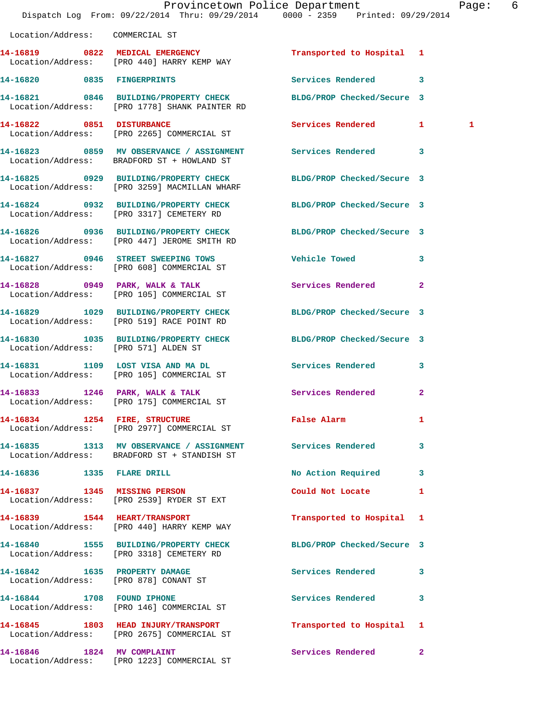|                                       | Provincetown Police Department<br>Dispatch Log From: 09/22/2014 Thru: 09/29/2014 0000 - 2359 Printed: 09/29/2014 |                                             |                         | Page: 6 |  |
|---------------------------------------|------------------------------------------------------------------------------------------------------------------|---------------------------------------------|-------------------------|---------|--|
| Location/Address: COMMERCIAL ST       |                                                                                                                  |                                             |                         |         |  |
|                                       | 14-16819 0822 MEDICAL EMERGENCY<br>Location/Address: [PRO 440] HARRY KEMP WAY                                    | Transported to Hospital 1                   |                         |         |  |
|                                       | 14-16820 0835 FINGERPRINTS                                                                                       | Services Rendered 3                         |                         |         |  |
|                                       | 14-16821 0846 BUILDING/PROPERTY CHECK<br>Location/Address: [PRO 1778] SHANK PAINTER RD                           | BLDG/PROP Checked/Secure 3                  |                         |         |  |
| 14-16822 0851 DISTURBANCE             | Location/Address: [PRO 2265] COMMERCIAL ST                                                                       | Services Rendered 1                         |                         | 1       |  |
|                                       | 14-16823 0859 MV OBSERVANCE / ASSIGNMENT<br>Location/Address: BRADFORD ST + HOWLAND ST                           | Services Rendered 3                         |                         |         |  |
|                                       | 14-16825 0929 BUILDING/PROPERTY CHECK<br>Location/Address: [PRO 3259] MACMILLAN WHARF                            | BLDG/PROP Checked/Secure 3                  |                         |         |  |
|                                       | 14-16824 0932 BUILDING/PROPERTY CHECK<br>Location/Address: [PRO 3317] CEMETERY RD                                | BLDG/PROP Checked/Secure 3                  |                         |         |  |
|                                       | 14-16826 0936 BUILDING/PROPERTY CHECK BLDG/PROP Checked/Secure 3<br>Location/Address: [PRO 447] JEROME SMITH RD  |                                             |                         |         |  |
|                                       | 14-16827 0946 STREET SWEEPING TOWS<br>Location/Address: [PRO 608] COMMERCIAL ST                                  | <b>Vehicle Towed</b>                        | $\overline{\mathbf{3}}$ |         |  |
|                                       | 14-16828 0949 PARK, WALK & TALK<br>Location/Address: [PRO 105] COMMERCIAL ST                                     | Services Rendered                           | $\mathbf{2}$            |         |  |
|                                       | 14-16829 1029 BUILDING/PROPERTY CHECK<br>Location/Address: [PRO 519] RACE POINT RD                               | BLDG/PROP Checked/Secure 3                  |                         |         |  |
| Location/Address: [PRO 571] ALDEN ST  | 14-16830 1035 BUILDING/PROPERTY CHECK BLDG/PROP Checked/Secure 3                                                 |                                             |                         |         |  |
|                                       | 14-16831 1109 LOST VISA AND MA DL Services Rendered 3<br>Location/Address: [PRO 105] COMMERCIAL ST               |                                             |                         |         |  |
|                                       | 14-16833 1246 PARK, WALK & TALK<br>Location/Address: [PRO 175] COMMERCIAL ST                                     | Services Rendered                           | $\mathbf{2}$            |         |  |
|                                       | 14-16834 1254 FIRE, STRUCTURE<br>Location/Address: [PRO 2977] COMMERCIAL ST                                      | False Alarm <b>Exercise Service Service</b> | 1                       |         |  |
|                                       | 14-16835 1313 MV OBSERVANCE / ASSIGNMENT Services Rendered 3<br>Location/Address: BRADFORD ST + STANDISH ST      |                                             |                         |         |  |
| 14-16836 1335 FLARE DRILL             |                                                                                                                  | No Action Required 3                        |                         |         |  |
|                                       | 14-16837 1345 MISSING PERSON<br>Location/Address: [PRO 2539] RYDER ST EXT                                        | Could Not Locate                            | $\mathbf{1}$            |         |  |
|                                       | 14-16839 1544 HEART/TRANSPORT<br>Location/Address: [PRO 440] HARRY KEMP WAY                                      | Transported to Hospital 1                   |                         |         |  |
|                                       | 14-16840 1555 BUILDING/PROPERTY CHECK<br>Location/Address: [PRO 3318] CEMETERY RD                                | BLDG/PROP Checked/Secure 3                  |                         |         |  |
| Location/Address: [PRO 878] CONANT ST | 14-16842 1635 PROPERTY DAMAGE                                                                                    | Services Rendered 3                         |                         |         |  |
| 14-16844 1708 FOUND IPHONE            | Location/Address: [PRO 146] COMMERCIAL ST                                                                        | Services Rendered                           | $\mathbf{3}$            |         |  |
|                                       | 14-16845 1803 HEAD INJURY/TRANSPORT<br>Location/Address: [PRO 2675] COMMERCIAL ST                                | Transported to Hospital 1                   |                         |         |  |
| 14-16846 1824 MV COMPLAINT            | Location/Address: [PRO 1223] COMMERCIAL ST                                                                       | Services Rendered 2                         |                         |         |  |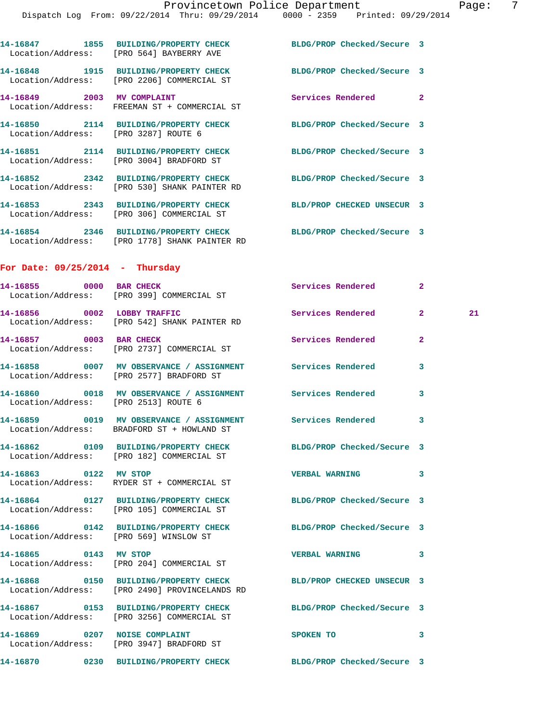|                                      | 14-16847 1855 BUILDING/PROPERTY CHECK BLDG/PROP Checked/Secure 3<br>Location/Address: [PRO 564] BAYBERRY AVE      |                            |              |    |
|--------------------------------------|-------------------------------------------------------------------------------------------------------------------|----------------------------|--------------|----|
|                                      | 14-16848 1915 BUILDING/PROPERTY CHECK<br>Location/Address: [PRO 2206] COMMERCIAL ST                               | BLDG/PROP Checked/Secure 3 |              |    |
| 14-16849 2003 MV COMPLAINT           | Location/Address: FREEMAN ST + COMMERCIAL ST                                                                      | Services Rendered 2        |              |    |
| Location/Address: [PRO 3287] ROUTE 6 | 14-16850 2114 BUILDING/PROPERTY CHECK BLDG/PROP Checked/Secure 3                                                  |                            |              |    |
|                                      | 14-16851 2114 BUILDING/PROPERTY CHECK BLDG/PROP Checked/Secure 3<br>Location/Address: [PRO 3004] BRADFORD ST      |                            |              |    |
|                                      | 14-16852 2342 BUILDING/PROPERTY CHECK<br>Location/Address: [PRO 530] SHANK PAINTER RD                             | BLDG/PROP Checked/Secure 3 |              |    |
|                                      | 14-16853 2343 BUILDING/PROPERTY CHECK<br>Location/Address: [PRO 306] COMMERCIAL ST                                | BLD/PROP CHECKED UNSECUR 3 |              |    |
|                                      | 14-16854 2346 BUILDING/PROPERTY CHECK BLDG/PROP Checked/Secure 3<br>Location/Address: [PRO 1778] SHANK PAINTER RD |                            |              |    |
| For Date: $09/25/2014$ - Thursday    |                                                                                                                   |                            |              |    |
|                                      | 14-16855 0000 BAR CHECK<br>Location/Address: [PRO 399] COMMERCIAL ST                                              | Services Rendered          | $\mathbf{2}$ |    |
| 14-16856 0002 LOBBY TRAFFIC          | Location/Address: [PRO 542] SHANK PAINTER RD                                                                      | <b>Services Rendered</b>   | $\mathbf{2}$ | 21 |
| 14-16857 0003 BAR CHECK              | Location/Address: [PRO 2737] COMMERCIAL ST                                                                        | Services Rendered          | $\mathbf{2}$ |    |
|                                      | 14-16858 0007 MV OBSERVANCE / ASSIGNMENT Services Rendered<br>Location/Address: [PRO 2577] BRADFORD ST            |                            | 3            |    |
| Location/Address: [PRO 2513] ROUTE 6 | 14-16860 0018 MV OBSERVANCE / ASSIGNMENT Services Rendered                                                        |                            | 3            |    |
|                                      | 14-16859 0019 MV OBSERVANCE / ASSIGNMENT Services Rendered<br>Location/Address: BRADFORD ST + HOWLAND ST          |                            | 3            |    |
|                                      | 14-16862 0109 BUILDING/PROPERTY CHECK BLDG/PROP Checked/Secure 3<br>Location/Address: [PRO 182] COMMERCIAL ST     |                            |              |    |
| 14-16863 0122 MV STOP                | Location/Address: RYDER ST + COMMERCIAL ST                                                                        | <b>VERBAL WARNING</b>      | 3            |    |
|                                      | 14-16864 0127 BUILDING/PROPERTY CHECK<br>Location/Address: [PRO 105] COMMERCIAL ST                                | BLDG/PROP Checked/Secure 3 |              |    |
|                                      | 14-16866 0142 BUILDING/PROPERTY CHECK<br>Location/Address: [PRO 569] WINSLOW ST                                   | BLDG/PROP Checked/Secure 3 |              |    |
| 14-16865 0143 MV STOP                | Location/Address: [PRO 204] COMMERCIAL ST                                                                         | <b>VERBAL WARNING</b>      | 3            |    |
|                                      | 14-16868 0150 BUILDING/PROPERTY CHECK<br>Location/Address: [PRO 2490] PROVINCELANDS RD                            | BLD/PROP CHECKED UNSECUR 3 |              |    |
|                                      | 14-16867 0153 BUILDING/PROPERTY CHECK<br>Location/Address: [PRO 3256] COMMERCIAL ST                               | BLDG/PROP Checked/Secure 3 |              |    |
|                                      | 14-16869 0207 NOISE COMPLAINT<br>Location/Address: [PRO 3947] BRADFORD ST                                         | SPOKEN TO                  | 3            |    |
|                                      | 14-16870 0230 BUILDING/PROPERTY CHECK BLDG/PROP Checked/Secure 3                                                  |                            |              |    |
|                                      |                                                                                                                   |                            |              |    |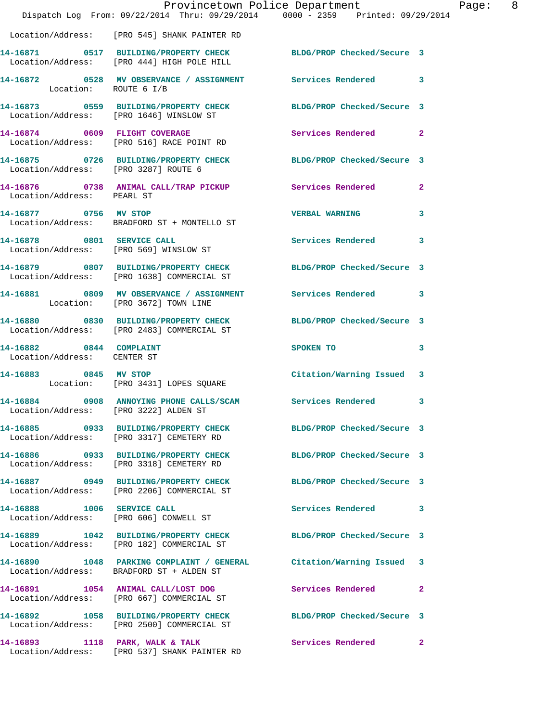|                                                        | Dispatch Log From: 09/22/2014 Thru: 09/29/2014 0000 - 2359 Printed: 09/29/2014                                  | Provincetown Police Department                                                                                 | Page: 8      |
|--------------------------------------------------------|-----------------------------------------------------------------------------------------------------------------|----------------------------------------------------------------------------------------------------------------|--------------|
|                                                        | Location/Address: [PRO 545] SHANK PAINTER RD                                                                    |                                                                                                                |              |
|                                                        | 14-16871 0517 BUILDING/PROPERTY CHECK BLDG/PROP Checked/Secure 3<br>Location/Address: [PRO 444] HIGH POLE HILL  |                                                                                                                |              |
| Location: ROUTE 6 I/B                                  | 14-16872 0528 MV OBSERVANCE / ASSIGNMENT Services Rendered 3                                                    |                                                                                                                |              |
|                                                        | 14-16873 0559 BUILDING/PROPERTY CHECK BLDG/PROP Checked/Secure 3<br>Location/Address: [PRO 1646] WINSLOW ST     |                                                                                                                |              |
|                                                        | 14-16874 0609 FLIGHT COVERAGE<br>Location/Address: [PRO 516] RACE POINT RD                                      | Services Rendered 2                                                                                            |              |
| Location/Address: [PRO 3287] ROUTE 6                   | 14-16875 0726 BUILDING/PROPERTY CHECK BLDG/PROP Checked/Secure 3                                                |                                                                                                                |              |
|                                                        | 14-16876 0738 ANIMAL CALL/TRAP PICKUP Services Rendered 2<br>Location/Address: PEARL ST                         |                                                                                                                |              |
| 14-16877 0756 MV STOP                                  | Location/Address: BRADFORD ST + MONTELLO ST                                                                     | <b>VERBAL WARNING</b>                                                                                          | 3            |
|                                                        | 14-16878 0801 SERVICE CALL<br>Location/Address: [PRO 569] WINSLOW ST                                            | <b>Services Rendered</b> 3                                                                                     |              |
|                                                        | 14-16879 0807 BUILDING/PROPERTY CHECK BLDG/PROP Checked/Secure 3<br>Location/Address: [PRO 1638] COMMERCIAL ST  |                                                                                                                |              |
|                                                        | 14-16881 0809 MV OBSERVANCE / ASSIGNMENT Services Rendered 3<br>Location: [PRO 3672] TOWN LINE                  |                                                                                                                |              |
|                                                        | 14-16880 0830 BUILDING/PROPERTY CHECK<br>Location/Address: [PRO 2483] COMMERCIAL ST                             | BLDG/PROP Checked/Secure 3                                                                                     |              |
| 14-16882 0844 COMPLAINT<br>Location/Address: CENTER ST |                                                                                                                 | SPOKEN TO THE STATE OF THE STATE OF THE STATE OF THE STATE OF THE STATE OF THE STATE OF THE STATE OF THE STATE | $\mathbf{3}$ |
| 14-16883 0845 MV STOP                                  | Location: [PRO 3431] LOPES SQUARE                                                                               | Citation/Warning Issued 3                                                                                      |              |
| Location/Address: [PRO 3222] ALDEN ST                  | 14-16884 0908 ANNOYING PHONE CALLS/SCAM Services Rendered 3                                                     |                                                                                                                |              |
|                                                        | 14-16885 0933 BUILDING/PROPERTY CHECK BLDG/PROP Checked/Secure 3<br>Location/Address: [PRO 3317] CEMETERY RD    |                                                                                                                |              |
|                                                        | 14-16886 0933 BUILDING/PROPERTY CHECK<br>Location/Address: [PRO 3318] CEMETERY RD                               | BLDG/PROP Checked/Secure 3                                                                                     |              |
|                                                        | 14-16887 0949 BUILDING/PROPERTY CHECK BLDG/PROP Checked/Secure 3<br>Location/Address: [PRO 2206] COMMERCIAL ST  |                                                                                                                |              |
|                                                        | 14-16888 1006 SERVICE CALL<br>Location/Address: [PRO 606] CONWELL ST                                            | Services Rendered 3                                                                                            |              |
|                                                        | 14-16889 1042 BUILDING/PROPERTY CHECK BLDG/PROP Checked/Secure 3<br>Location/Address: [PRO 182] COMMERCIAL ST   |                                                                                                                |              |
|                                                        | 14-16890 1048 PARKING COMPLAINT / GENERAL Citation/Warning Issued 3<br>Location/Address: BRADFORD ST + ALDEN ST |                                                                                                                |              |
|                                                        | 14-16891 1054 ANIMAL CALL/LOST DOG<br>Location/Address: [PRO 667] COMMERCIAL ST                                 | Services Rendered 2                                                                                            |              |
|                                                        | 14-16892 1058 BUILDING/PROPERTY CHECK BLDG/PROP Checked/Secure 3<br>Location/Address: [PRO 2500] COMMERCIAL ST  |                                                                                                                |              |
|                                                        | 14-16893 1118 PARK, WALK & TALK<br>Location/Address: [PRO 537] SHANK PAINTER RD                                 | Services Rendered 2                                                                                            |              |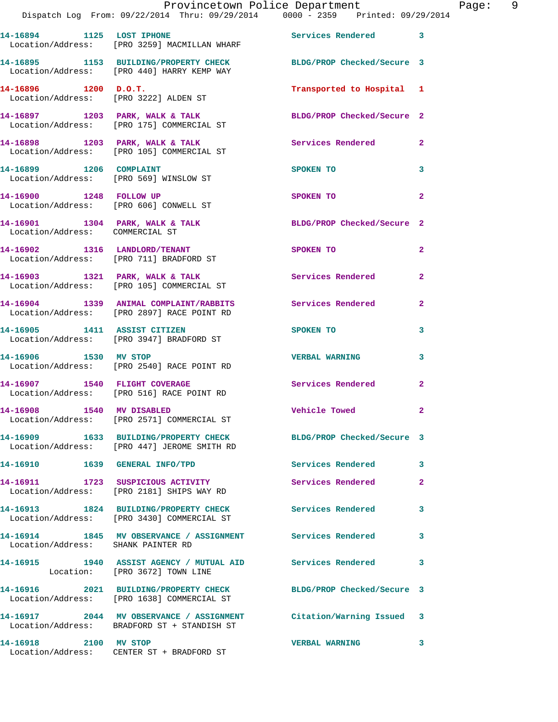|                                                                          | Provincetown Police Department<br>Dispatch Log From: 09/22/2014 Thru: 09/29/2014 0000 - 2359 Printed: 09/29/2014 |                            |                         |
|--------------------------------------------------------------------------|------------------------------------------------------------------------------------------------------------------|----------------------------|-------------------------|
| 14-16894 1125 LOST IPHONE                                                | Location/Address: [PRO 3259] MACMILLAN WHARF                                                                     | <b>Services Rendered</b>   | 3                       |
|                                                                          | 14-16895 1153 BUILDING/PROPERTY CHECK<br>Location/Address: [PRO 440] HARRY KEMP WAY                              | BLDG/PROP Checked/Secure 3 |                         |
| $14-16896$ 1200 D.O.T.                                                   | Location/Address: [PRO 3222] ALDEN ST                                                                            | Transported to Hospital    | 1                       |
|                                                                          | 14-16897 1203 PARK, WALK & TALK<br>Location/Address: [PRO 175] COMMERCIAL ST                                     | BLDG/PROP Checked/Secure 2 |                         |
| 14-16898 1203 PARK, WALK & TALK                                          | Location/Address: [PRO 105] COMMERCIAL ST                                                                        | <b>Services Rendered</b>   | $\mathbf{2}$            |
| 14-16899 1206 COMPLAINT                                                  | Location/Address: [PRO 569] WINSLOW ST                                                                           | SPOKEN TO                  | 3                       |
| 14-16900 1248 FOLLOW UP                                                  | Location/Address: [PRO 606] CONWELL ST                                                                           | SPOKEN TO                  | $\overline{\mathbf{2}}$ |
| 14-16901 1304 PARK, WALK & TALK<br>Location/Address: COMMERCIAL ST       |                                                                                                                  | BLDG/PROP Checked/Secure 2 |                         |
| 14-16902 1316 LANDLORD/TENANT<br>Location/Address: [PRO 711] BRADFORD ST |                                                                                                                  | SPOKEN TO                  | $\overline{2}$          |
|                                                                          | 14-16903 1321 PARK, WALK & TALK<br>Location/Address: [PRO 105] COMMERCIAL ST                                     | <b>Services Rendered</b>   | $\overline{2}$          |
|                                                                          | 14-16904 1339 ANIMAL COMPLAINT/RABBITS<br>Location/Address: [PRO 2897] RACE POINT RD                             | Services Rendered          | $\mathbf{2}$            |
| 14-16905 1411 ASSIST CITIZEN                                             | Location/Address: [PRO 3947] BRADFORD ST                                                                         | <b>SPOKEN TO</b>           | 3                       |
| 14-16906 1530 MV STOP                                                    | Location/Address: [PRO 2540] RACE POINT RD                                                                       | <b>VERBAL WARNING</b>      | 3                       |
| 14-16907                                                                 | 1540 FLIGHT COVERAGE<br>Location/Address: [PRO 516] RACE POINT RD                                                | Services Rendered          | $\mathbf{2}$            |
| 1540 MV DISABLED<br>14-16908                                             | Location/Address: [PRO 2571] COMMERCIAL ST                                                                       | <b>Vehicle Towed</b>       | $\overline{2}$          |
|                                                                          | 14-16909 1633 BUILDING/PROPERTY CHECK                                                                            | BLDG/PROP Checked/Secure 3 |                         |

 Location/Address: [PRO 447] JEROME SMITH RD **14-16910 1639 GENERAL INFO/TPD Services Rendered 3 14-16911 1723 SUSPICIOUS ACTIVITY Services Rendered 2**  Location/Address: [PRO 2181] SHIPS WAY RD **14-16913 1824 BUILDING/PROPERTY CHECK Services Rendered 3**  Location/Address: [PRO 3430] COMMERCIAL ST **14-16914 1845 MV OBSERVANCE / ASSIGNMENT Services Rendered 3**  Location/Address: SHANK PAINTER RD **14-16915 1940 ASSIST AGENCY / MUTUAL AID Services Rendered 3**  Location: [PRO 3672] TOWN LINE **14-16916 2021 BUILDING/PROPERTY CHECK BLDG/PROP Checked/Secure 3**  Location/Address: [PRO 1638] COMMERCIAL ST **14-16917 2044 MV OBSERVANCE / ASSIGNMENT Citation/Warning Issued 3**  Location/Address: BRADFORD ST + STANDISH ST

**14-16918 2100 MV STOP VERBAL WARNING 3**  Location/Address: CENTER ST + BRADFORD ST

Page: 9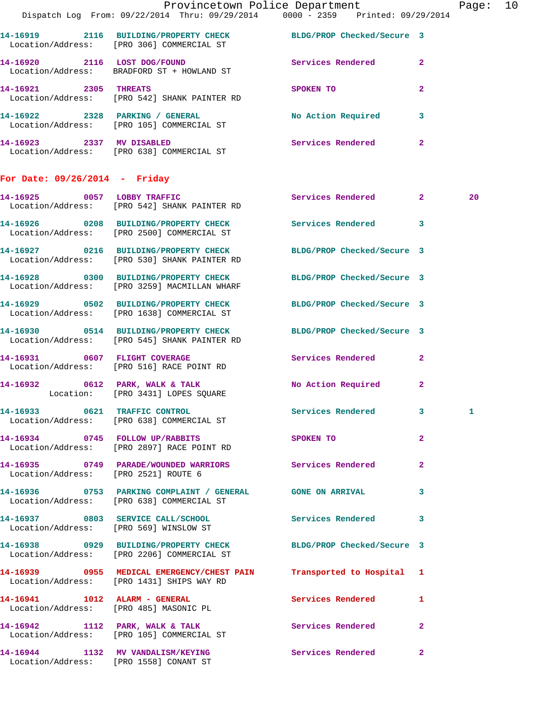|                                      |                                                                                                                   | Provincetown Police Department<br>Dispatch Log From: 09/22/2014 Thru: 09/29/2014 0000 - 2359 Printed: 09/29/2014 | Page: 10 |
|--------------------------------------|-------------------------------------------------------------------------------------------------------------------|------------------------------------------------------------------------------------------------------------------|----------|
|                                      |                                                                                                                   |                                                                                                                  |          |
|                                      | 14-16919 2116 BUILDING/PROPERTY CHECK BLDG/PROP Checked/Secure 3<br>Location/Address: [PRO 306] COMMERCIAL ST     |                                                                                                                  |          |
|                                      | 14-16920 2116 LOST DOG/FOUND Services Rendered 2<br>Location/Address: BRADFORD ST + HOWLAND ST                    |                                                                                                                  |          |
|                                      | 14-16921 2305 THREATS<br>Location/Address: [PRO 542] SHANK PAINTER RD                                             | SPOKEN TO AND THE SPOKEN TO<br>$\mathbf{2}$                                                                      |          |
|                                      | 14-16922 2328 PARKING / GENERAL No Action Required 3<br>Location/Address: [PRO 105] COMMERCIAL ST                 |                                                                                                                  |          |
|                                      | 14-16923 2337 MV DISABLED<br>Location/Address: [PRO 638] COMMERCIAL ST                                            | Services Rendered 2                                                                                              |          |
| For Date: $09/26/2014$ - Friday      |                                                                                                                   |                                                                                                                  |          |
|                                      | 14-16925 0057 LOBBY TRAFFIC<br>Location/Address: [PRO 542] SHANK PAINTER RD                                       | Services Rendered 2                                                                                              | 20       |
|                                      | 14-16926 0208 BUILDING/PROPERTY CHECK Services Rendered 3<br>Location/Address: [PRO 2500] COMMERCIAL ST           |                                                                                                                  |          |
|                                      | 14-16927 0216 BUILDING/PROPERTY CHECK BLDG/PROP Checked/Secure 3<br>Location/Address: [PRO 530] SHANK PAINTER RD  |                                                                                                                  |          |
|                                      | 14-16928 0300 BUILDING/PROPERTY CHECK<br>Location/Address: [PRO 3259] MACMILLAN WHARF                             | BLDG/PROP Checked/Secure 3                                                                                       |          |
|                                      | 14-16929 0502 BUILDING/PROPERTY CHECK BLDG/PROP Checked/Secure 3<br>Location/Address: [PRO 1638] COMMERCIAL ST    |                                                                                                                  |          |
|                                      | 14-16930 0514 BUILDING/PROPERTY CHECK<br>Location/Address: [PRO 545] SHANK PAINTER RD                             | BLDG/PROP Checked/Secure 3                                                                                       |          |
|                                      | 14-16931 0607 FLIGHT COVERAGE<br>Location/Address: [PRO 516] RACE POINT RD                                        | Services Rendered 2                                                                                              |          |
|                                      | 14-16932 0612 PARK, WALK & TALK<br>Location: [PRO 3431] LOPES SQUARE                                              | No Action Required 2                                                                                             |          |
|                                      | 14-16933 0621 TRAFFIC CONTROL<br>Location/Address: [PRO 638] COMMERCIAL ST                                        | Services Rendered 3                                                                                              |          |
|                                      | 14-16934 0745 FOLLOW UP/RABBITS<br>Location/Address: [PRO 2897] RACE POINT RD                                     | $\overline{2}$<br>SPOKEN TO                                                                                      |          |
| Location/Address: [PRO 2521] ROUTE 6 | 14-16935 0749 PARADE/WOUNDED WARRIORS Services Rendered 2                                                         |                                                                                                                  |          |
|                                      | 14-16936 0753 PARKING COMPLAINT / GENERAL GONE ON ARRIVAL 3<br>Location/Address: [PRO 638] COMMERCIAL ST          |                                                                                                                  |          |
|                                      | 14-16937 0803 SERVICE CALL/SCHOOL 5 Services Rendered 3<br>Location/Address: [PRO 569] WINSLOW ST                 |                                                                                                                  |          |
|                                      | 14-16938 0929 BUILDING/PROPERTY CHECK BLDG/PROP Checked/Secure 3<br>Location/Address: [PRO 2206] COMMERCIAL ST    |                                                                                                                  |          |
|                                      | 14-16939 0955 MEDICAL EMERGENCY/CHEST PAIN Transported to Hospital 1<br>Location/Address: [PRO 1431] SHIPS WAY RD |                                                                                                                  |          |
|                                      | 14-16941 1012 ALARM - GENERAL<br>Location/Address: [PRO 485] MASONIC PL                                           | <b>Services Rendered</b><br>-1                                                                                   |          |
|                                      | 14-16942 1112 PARK, WALK & TALK 6 Services Rendered 2<br>Location/Address: [PRO 105] COMMERCIAL ST                |                                                                                                                  |          |
|                                      | 14-16944 1132 MV VANDALISM/KEYING<br>Location/Address: [PRO 1558] CONANT ST                                       | Services Rendered 2                                                                                              |          |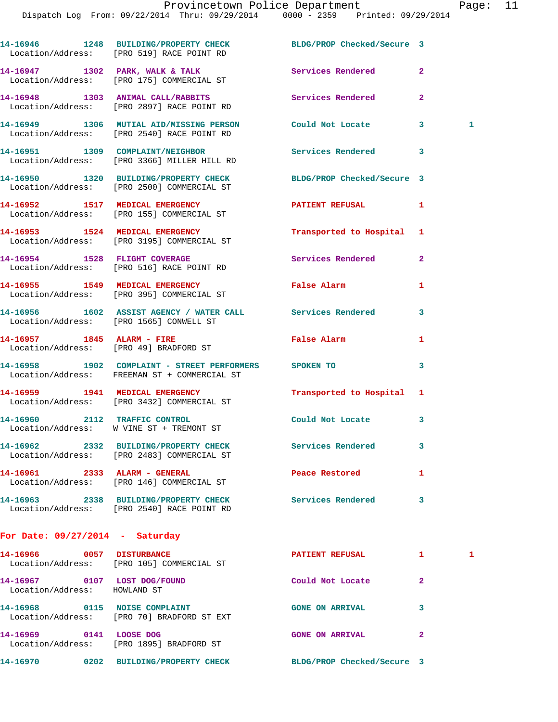|                                                              | 14-16946 1248 BUILDING/PROPERTY CHECK BLDG/PROP Checked/Secure 3<br>Location/Address: [PRO 519] RACE POINT RD |                            |                |   |
|--------------------------------------------------------------|---------------------------------------------------------------------------------------------------------------|----------------------------|----------------|---|
|                                                              | 14-16947 1302 PARK, WALK & TALK<br>Location/Address: [PRO 175] COMMERCIAL ST                                  | Services Rendered          | $\overline{2}$ |   |
|                                                              | 14-16948 1303 ANIMAL CALL/RABBITS Services Rendered<br>Location/Address: [PRO 2897] RACE POINT RD             |                            | $\mathbf{2}$   |   |
|                                                              | 14-16949 1306 MUTIAL AID/MISSING PERSON Could Not Locate<br>Location/Address: [PRO 2540] RACE POINT RD        |                            | 3              | 1 |
|                                                              | 14-16951 1309 COMPLAINT/NEIGHBOR<br>Location/Address: [PRO 3366] MILLER HILL RD                               | <b>Services Rendered</b>   | 3              |   |
|                                                              | 14-16950 1320 BUILDING/PROPERTY CHECK<br>Location/Address: [PRO 2500] COMMERCIAL ST                           | BLDG/PROP Checked/Secure 3 |                |   |
|                                                              | 14-16952 1517 MEDICAL EMERGENCY<br>Location/Address: [PRO 155] COMMERCIAL ST                                  | PATIENT REFUSAL            | 1              |   |
|                                                              | 14-16953 1524 MEDICAL EMERGENCY<br>Location/Address: [PRO 3195] COMMERCIAL ST                                 | Transported to Hospital 1  |                |   |
|                                                              | 14-16954 1528 FLIGHT COVERAGE<br>Location/Address: [PRO 516] RACE POINT RD                                    | Services Rendered          | $\mathbf{2}$   |   |
|                                                              | 14-16955 1549 MEDICAL EMERGENCY<br>Location/Address: [PRO 395] COMMERCIAL ST                                  | False Alarm                | 1              |   |
|                                                              | 14-16956 1602 ASSIST AGENCY / WATER CALL Services Rendered<br>Location/Address: [PRO 1565] CONWELL ST         |                            | 3              |   |
| 14-16957 1845 ALARM - FIRE                                   | Location/Address: [PRO 49] BRADFORD ST                                                                        | False Alarm                | 1              |   |
|                                                              | 14-16958 1902 COMPLAINT - STREET PERFORMERS SPOKEN TO<br>Location/Address: FREEMAN ST + COMMERCIAL ST         |                            | 3              |   |
|                                                              | 14-16959 1941 MEDICAL EMERGENCY<br>Location/Address: [PRO 3432] COMMERCIAL ST                                 | Transported to Hospital 1  |                |   |
|                                                              | 14-16960 2112 TRAFFIC CONTROL<br>Location/Address: W VINE ST + TREMONT ST                                     | Could Not Locate           | 3              |   |
|                                                              | 14-16962  2332 BUILDING/PROPERTY CHECK<br>Location/Address: [PRO 2483] COMMERCIAL ST                          | <b>Services Rendered</b>   | 3              |   |
| 14-16961 2333 ALARM - GENERAL                                | Location/Address: [PRO 146] COMMERCIAL ST                                                                     | Peace Restored             | 1              |   |
|                                                              | 14-16963 2338 BUILDING/PROPERTY CHECK<br>Location/Address: [PRO 2540] RACE POINT RD                           | <b>Services Rendered</b>   | 3              |   |
| For Date: $09/27/2014$ - Saturday                            |                                                                                                               |                            |                |   |
| 14-16966 0057 DISTURBANCE                                    | Location/Address: [PRO 105] COMMERCIAL ST                                                                     | <b>PATIENT REFUSAL</b>     | $\mathbf{1}$   | 1 |
| 14-16967 0107 LOST DOG/FOUND<br>Location/Address: HOWLAND ST |                                                                                                               | Could Not Locate           | $\mathbf{2}$   |   |
|                                                              | 14-16968 0115 NOISE COMPLAINT<br>Location/Address: [PRO 70] BRADFORD ST EXT                                   | <b>GONE ON ARRIVAL</b>     | 3              |   |
|                                                              |                                                                                                               |                            |                |   |

**14-16970 0202 BUILDING/PROPERTY CHECK BLDG/PROP Checked/Secure 3** 

Location/Address: [PRO 1895] BRADFORD ST

**14-16969 0141 LOOSE DOG GONE ON ARRIVAL 2**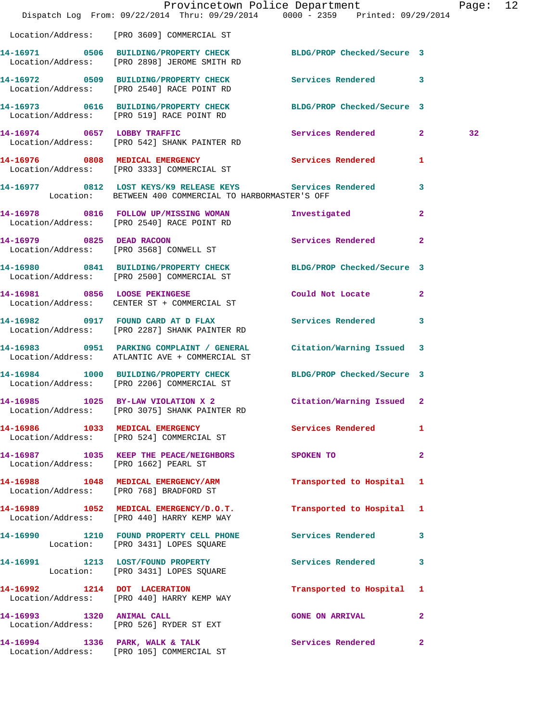|                                       | Dispatch Log From: 09/22/2014 Thru: 09/29/2014 0000 - 2359 Printed: 09/29/2014                                         | Provincetown Police Department |                | Page: 12 |  |
|---------------------------------------|------------------------------------------------------------------------------------------------------------------------|--------------------------------|----------------|----------|--|
|                                       | Location/Address: [PRO 3609] COMMERCIAL ST                                                                             |                                |                |          |  |
|                                       | 14-16971 0506 BUILDING/PROPERTY CHECK BLDG/PROP Checked/Secure 3<br>Location/Address: [PRO 2898] JEROME SMITH RD       |                                |                |          |  |
|                                       | 14-16972 0509 BUILDING/PROPERTY CHECK Services Rendered 3<br>Location/Address: [PRO 2540] RACE POINT RD                |                                |                |          |  |
|                                       | 14-16973 0616 BUILDING/PROPERTY CHECK BLDG/PROP Checked/Secure 3<br>Location/Address: [PRO 519] RACE POINT RD          |                                |                |          |  |
|                                       | 14-16974 0657 LOBBY TRAFFIC<br>Location/Address: [PRO 542] SHANK PAINTER RD                                            | Services Rendered 2            |                | 32       |  |
|                                       | 14-16976 0808 MEDICAL EMERGENCY Services Rendered<br>Location/Address: [PRO 3333] COMMERCIAL ST                        |                                | $\mathbf{1}$   |          |  |
|                                       | 14-16977 0812 LOST KEYS/K9 RELEASE KEYS Services Rendered 13<br>Location: BETWEEN 400 COMMERCIAL TO HARBORMASTER'S OFF |                                |                |          |  |
|                                       | 14-16978 0816 FOLLOW UP/MISSING WOMAN<br>Location/Address: [PRO 2540] RACE POINT RD                                    | Investigated                   | $\mathbf{2}$   |          |  |
|                                       | 14-16979 0825 DEAD RACOON<br>Location/Address: [PRO 3568] CONWELL ST                                                   | Services Rendered              | $\overline{a}$ |          |  |
|                                       | 14-16980 0841 BUILDING/PROPERTY CHECK BLDG/PROP Checked/Secure 3<br>Location/Address: [PRO 2500] COMMERCIAL ST         |                                |                |          |  |
|                                       | 14-16981 0856 LOOSE PEKINGESE<br>Location/Address: CENTER ST + COMMERCIAL ST                                           | Could Not Locate 2             |                |          |  |
|                                       | 14-16982 0917 FOUND CARD AT D FLAX Services Rendered<br>Location/Address: [PRO 2287] SHANK PAINTER RD                  |                                | 3              |          |  |
|                                       | 14-16983 0951 PARKING COMPLAINT / GENERAL<br>Location/Address: ATLANTIC AVE + COMMERCIAL ST                            | Citation/Warning Issued 3      |                |          |  |
|                                       | 14-16984 1000 BUILDING/PROPERTY CHECK BLDG/PROP Checked/Secure 3<br>Location/Address: [PRO 2206] COMMERCIAL ST         |                                |                |          |  |
|                                       | 14-16985 1025 BY-LAW VIOLATION X 2 Citation/Warning Issued 2<br>Location/Address: [PRO 3075] SHANK PAINTER RD          |                                |                |          |  |
|                                       | 14-16986 1033 MEDICAL EMERGENCY Services Rendered<br>Location/Address: [PRO 524] COMMERCIAL ST                         |                                | 1              |          |  |
| Location/Address: [PRO 1662] PEARL ST | 14-16987 1035 KEEP THE PEACE/NEIGHBORS SPOKEN TO                                                                       |                                | $\mathbf{2}$   |          |  |
|                                       | 14-16988 1048 MEDICAL EMERGENCY/ARM<br>Location/Address: [PRO 768] BRADFORD ST                                         | Transported to Hospital 1      |                |          |  |
|                                       | 14-16989 1052 MEDICAL EMERGENCY/D.O.T.<br>Location/Address: [PRO 440] HARRY KEMP WAY                                   | Transported to Hospital 1      |                |          |  |
|                                       | 14-16990 1210 FOUND PROPERTY CELL PHONE Services Rendered<br>Location: [PRO 3431] LOPES SQUARE                         |                                | 3              |          |  |
|                                       | 14-16991 1213 LOST/FOUND PROPERTY<br>Location: [PRO 3431] LOPES SQUARE                                                 | Services Rendered 3            |                |          |  |
|                                       | 14-16992 1214 DOT LACERATION<br>Location/Address: [PRO 440] HARRY KEMP WAY                                             | Transported to Hospital 1      |                |          |  |
|                                       | 14-16993 1320 ANIMAL CALL<br>Location/Address: [PRO 526] RYDER ST EXT                                                  | <b>GONE ON ARRIVAL</b>         | $\mathbf{2}$   |          |  |
|                                       | 14-16994 1336 PARK, WALK & TALK<br>Location/Address: [PRO 105] COMMERCIAL ST                                           | Services Rendered              | $\mathbf{2}$   |          |  |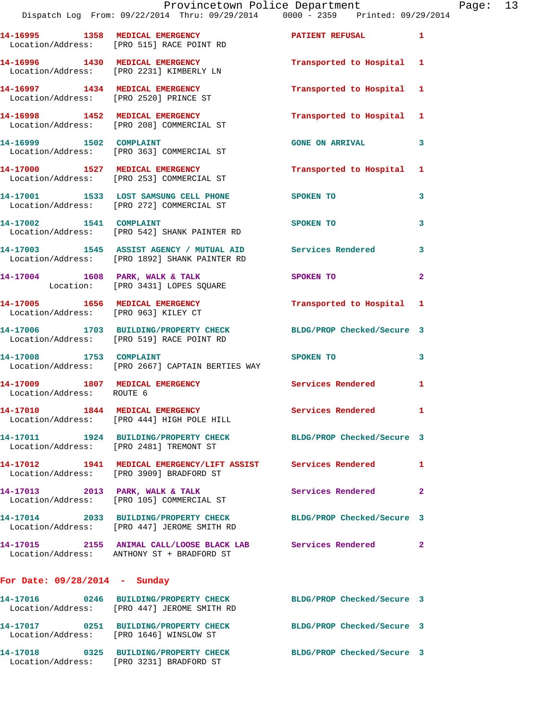|                                 | Provincetown Police Department<br>Dispatch Log From: 09/22/2014 Thru: 09/29/2014 0000 - 2359 Printed: 09/29/2014 |                            |              |
|---------------------------------|------------------------------------------------------------------------------------------------------------------|----------------------------|--------------|
|                                 | 14-16995 1358 MEDICAL EMERGENCY PATIENT REFUSAL<br>Location/Address: [PRO 515] RACE POINT RD                     |                            | 1            |
|                                 | 14-16996 1430 MEDICAL EMERGENCY<br>Location/Address: [PRO 2231] KIMBERLY LN                                      | Transported to Hospital    | -1           |
|                                 | 14-16997 1434 MEDICAL EMERGENCY<br>Location/Address: [PRO 2520] PRINCE ST                                        | Transported to Hospital    | 1            |
|                                 | 14-16998 1452 MEDICAL EMERGENCY<br>Location/Address: [PRO 208] COMMERCIAL ST                                     | Transported to Hospital    | 1            |
|                                 | 14-16999 1502 COMPLAINT<br>Location/Address: [PRO 363] COMMERCIAL ST                                             | <b>GONE ON ARRIVAL</b>     | 3            |
|                                 | 14-17000 1527 MEDICAL EMERGENCY<br>Location/Address: [PRO 253] COMMERCIAL ST                                     | Transported to Hospital    | 1            |
|                                 | 14-17001 1533 LOST SAMSUNG CELL PHONE<br>Location/Address: [PRO 272] COMMERCIAL ST                               | SPOKEN TO                  | 3            |
| 14-17002 1541 COMPLAINT         | Location/Address: [PRO 542] SHANK PAINTER RD                                                                     | SPOKEN TO                  | 3            |
|                                 | 14-17003 1545 ASSIST AGENCY / MUTUAL AID Services Rendered<br>Location/Address: [PRO 1892] SHANK PAINTER RD      |                            | 3            |
|                                 | 14-17004 1608 PARK, WALK & TALK<br>Location: [PRO 3431] LOPES SQUARE                                             | SPOKEN TO                  | 2            |
|                                 | 14-17005 1656 MEDICAL EMERGENCY<br>Location/Address: [PRO 963] KILEY CT                                          | Transported to Hospital    | 1            |
|                                 | 14-17006 1703 BUILDING/PROPERTY CHECK BLDG/PROP Checked/Secure 3<br>Location/Address: [PRO 519] RACE POINT RD    |                            |              |
| 14-17008 1753 COMPLAINT         | Location/Address: [PRO 2667] CAPTAIN BERTIES WAY                                                                 | SPOKEN TO                  | 3            |
| Location/Address: ROUTE 6       | 14-17009 1807 MEDICAL EMERGENCY Services Rendered                                                                |                            | 1            |
|                                 | 14-17010 1844 MEDICAL EMERGENCY<br>Location/Address: [PRO 444] HIGH POLE HILL                                    | <b>Services Rendered</b>   | $\mathbf{1}$ |
|                                 | 14-17011 1924 BUILDING/PROPERTY CHECK BLDG/PROP Checked/Secure 3<br>Location/Address: [PRO 2481] TREMONT ST      |                            |              |
|                                 | 14-17012 1941 MEDICAL EMERGENCY/LIFT ASSIST Services Rendered<br>Location/Address: [PRO 3909] BRADFORD ST        |                            | 1            |
|                                 | 14-17013 2013 PARK, WALK & TALK<br>Location/Address: [PRO 105] COMMERCIAL ST                                     | Services Rendered          | $\mathbf{2}$ |
|                                 | 14-17014 2033 BUILDING/PROPERTY CHECK<br>Location/Address: [PRO 447] JEROME SMITH RD                             | BLDG/PROP Checked/Secure 3 |              |
|                                 | 14-17015 2155 ANIMAL CALL/LOOSE BLACK LAB Services Rendered<br>Location/Address: ANTHONY ST + BRADFORD ST        |                            | 2            |
| For Date: $09/28/2014$ - Sunday |                                                                                                                  |                            |              |
|                                 | 14-17016 0246 BUILDING/PROPERTY CHECK BLDG/PROP Checked/Secure 3<br>Location/Address: [PRO 447] JEROME SMITH RD  |                            |              |
|                                 | 14-17017 0251 BUILDING/PROPERTY CHECK<br>Location/Address: [PRO 1646] WINSLOW ST                                 | BLDG/PROP Checked/Secure 3 |              |
|                                 | 14-17018 0325 BUILDING/PROPERTY CHECK                                                                            | BLDG/PROP Checked/Secure 3 |              |

Location/Address: [PRO 3231] BRADFORD ST

Page: 13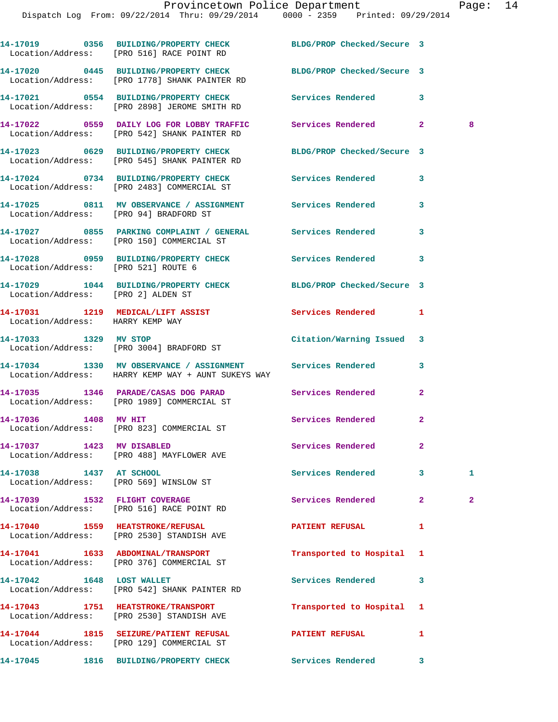|                                     | 14-17019 0356 BUILDING/PROPERTY CHECK BLDG/PROP Checked/Secure 3<br>Location/Address: [PRO 516] RACE POINT RD     |                            |              |              |
|-------------------------------------|-------------------------------------------------------------------------------------------------------------------|----------------------------|--------------|--------------|
|                                     | 14-17020 0445 BUILDING/PROPERTY CHECK BLDG/PROP Checked/Secure 3<br>Location/Address: [PRO 1778] SHANK PAINTER RD |                            |              |              |
|                                     | 14-17021 0554 BUILDING/PROPERTY CHECK Services Rendered<br>Location/Address: [PRO 2898] JEROME SMITH RD           |                            | 3            |              |
|                                     | 14-17022 0559 DAILY LOG FOR LOBBY TRAFFIC Services Rendered<br>Location/Address: [PRO 542] SHANK PAINTER RD       |                            | $\mathbf{2}$ | 8            |
|                                     | 14-17023 0629 BUILDING/PROPERTY CHECK<br>Location/Address: [PRO 545] SHANK PAINTER RD                             | BLDG/PROP Checked/Secure 3 |              |              |
|                                     | 14-17024 0734 BUILDING/PROPERTY CHECK Services Rendered<br>Location/Address: [PRO 2483] COMMERCIAL ST             |                            | 3            |              |
|                                     | 14-17025 0811 MV OBSERVANCE / ASSIGNMENT Services Rendered<br>Location/Address: [PRO 94] BRADFORD ST              |                            | 3            |              |
|                                     | 14-17027 0855 PARKING COMPLAINT / GENERAL Services Rendered<br>Location/Address: [PRO 150] COMMERCIAL ST          |                            | 3            |              |
| Location/Address: [PRO 521] ROUTE 6 | 14-17028 0959 BUILDING/PROPERTY CHECK Services Rendered                                                           |                            | 3            |              |
| Location/Address: [PRO 2] ALDEN ST  | 14-17029 1044 BUILDING/PROPERTY CHECK BLDG/PROP Checked/Secure 3                                                  |                            |              |              |
| Location/Address: HARRY KEMP WAY    | 14-17031 1219 MEDICAL/LIFT ASSIST                                                                                 | Services Rendered          | 1            |              |
|                                     | 14-17033 1329 MV STOP<br>Location/Address: [PRO 3004] BRADFORD ST                                                 | Citation/Warning Issued    | 3            |              |
|                                     | 14-17034 1330 MV OBSERVANCE / ASSIGNMENT Services Rendered<br>Location/Address: HARRY KEMP WAY + AUNT SUKEYS WAY  |                            | 3            |              |
|                                     | 14-17035 1346 PARADE/CASAS DOG PARAD Services Rendered<br>Location/Address: [PRO 1989] COMMERCIAL ST              |                            | $\mathbf{2}$ |              |
| 14-17036 1408 MV HIT                | Location/Address: [PRO 823] COMMERCIAL ST                                                                         | Services Rendered          | $\mathbf{2}$ |              |
| 14-17037 1423 MV DISABLED           | Location/Address: [PRO 488] MAYFLOWER AVE                                                                         | <b>Services Rendered</b>   | 2            |              |
| 14-17038 1437 AT SCHOOL             | Location/Address: [PRO 569] WINSLOW ST                                                                            | Services Rendered          | 3            | 1.           |
|                                     | 14-17039 1532 FLIGHT COVERAGE<br>Location/Address: [PRO 516] RACE POINT RD                                        | Services Rendered          | $\mathbf{2}$ | $\mathbf{2}$ |
|                                     | 14-17040 1559 HEATSTROKE/REFUSAL<br>Location/Address: [PRO 2530] STANDISH AVE                                     | <b>PATIENT REFUSAL</b>     | 1            |              |
|                                     | 14-17041 1633 ABDOMINAL/TRANSPORT<br>Location/Address: [PRO 376] COMMERCIAL ST                                    | Transported to Hospital    | 1            |              |
| 14-17042 1648 LOST WALLET           | Location/Address: [PRO 542] SHANK PAINTER RD                                                                      | Services Rendered          | 3            |              |
|                                     | 14-17043 1751 HEATSTROKE/TRANSPORT<br>Location/Address: [PRO 2530] STANDISH AVE                                   | Transported to Hospital    | 1            |              |
|                                     | 14-17044 1815 SEIZURE/PATIENT REFUSAL PATIENT REFUSAL<br>Location/Address: [PRO 129] COMMERCIAL ST                |                            | 1            |              |
|                                     | 14-17045 1816 BUILDING/PROPERTY CHECK Services Rendered                                                           |                            | 3            |              |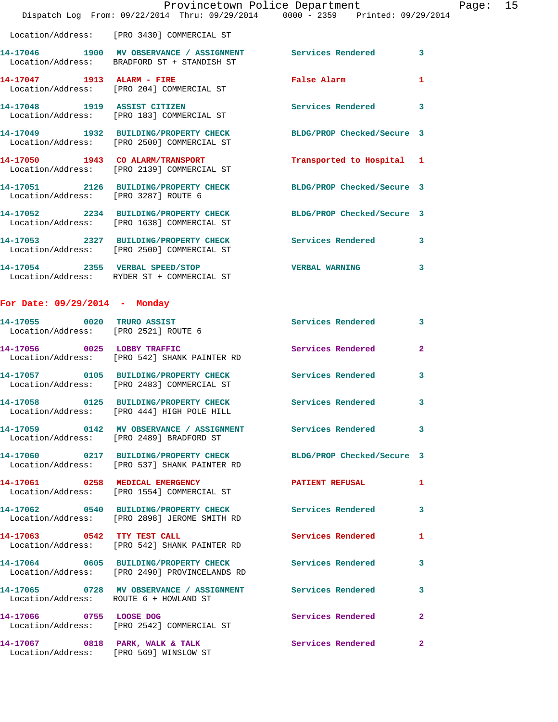|                                      | Dispatch Log From: 09/22/2014 Thru: 09/29/2014 0000 - 2359 Printed: 09/29/2014                                 | Provincetown Police Department | Page: $15$              |  |
|--------------------------------------|----------------------------------------------------------------------------------------------------------------|--------------------------------|-------------------------|--|
|                                      | Location/Address: [PRO 3430] COMMERCIAL ST                                                                     |                                |                         |  |
|                                      | 14-17046 1900 MV OBSERVANCE / ASSIGNMENT Services Rendered<br>Location/Address: BRADFORD ST + STANDISH ST      |                                | $\overline{\mathbf{3}}$ |  |
|                                      | 14-17047 1913 ALARM - FIRE THE False Alarm<br>Location/Address: [PRO 204] COMMERCIAL ST                        |                                | 1                       |  |
|                                      | 14-17048 1919 ASSIST CITIZEN<br>Location/Address: [PRO 183] COMMERCIAL ST                                      | Services Rendered              | $\overline{\mathbf{3}}$ |  |
|                                      | 14-17049 1932 BUILDING/PROPERTY CHECK BLDG/PROP Checked/Secure 3<br>Location/Address: [PRO 2500] COMMERCIAL ST |                                |                         |  |
|                                      | 14-17050 1943 CO ALARM/TRANSPORT<br>Location/Address: [PRO 2139] COMMERCIAL ST                                 | Transported to Hospital 1      |                         |  |
| Location/Address: [PRO 3287] ROUTE 6 | 14-17051 2126 BUILDING/PROPERTY CHECK BLDG/PROP Checked/Secure 3                                               |                                |                         |  |
|                                      | 14-17052 2234 BUILDING/PROPERTY CHECK BLDG/PROP Checked/Secure 3<br>Location/Address: [PRO 1638] COMMERCIAL ST |                                |                         |  |
|                                      | 14-17053 2327 BUILDING/PROPERTY CHECK Services Rendered<br>Location/Address: [PRO 2500] COMMERCIAL ST          |                                | $\overline{\mathbf{3}}$ |  |
|                                      | 14-17054 2355 VERBAL SPEED/STOP<br>Location/Address: RYDER ST + COMMERCIAL ST                                  | <b>VERBAL WARNING</b>          | 3                       |  |

## **For Date: 09/29/2014 - Monday**

Location/Address: [PRO 569] WINSLOW ST

| 14-17055 0020 TRURO ASSIST<br>Location/Address: [PRO 2521] ROUTE 6 |                                                                                        | <b>Services Rendered</b>   | $\mathbf{3}$            |
|--------------------------------------------------------------------|----------------------------------------------------------------------------------------|----------------------------|-------------------------|
| 14-17056 0025 LOBBY TRAFFIC                                        | Location/Address: [PRO 542] SHANK PAINTER RD                                           | <b>Services Rendered</b>   | $\overline{2}$          |
|                                                                    | 14-17057 0105 BUILDING/PROPERTY CHECK<br>Location/Address: [PRO 2483] COMMERCIAL ST    | <b>Services Rendered</b>   | $\mathbf{3}$            |
|                                                                    | 14-17058 0125 BUILDING/PROPERTY CHECK<br>Location/Address: [PRO 444] HIGH POLE HILL    | <b>Services Rendered</b>   | $\mathbf{3}$            |
|                                                                    | Location/Address: [PRO 2489] BRADFORD ST                                               |                            | $\mathbf{3}$            |
|                                                                    | 14-17060 0217 BUILDING/PROPERTY CHECK<br>Location/Address: [PRO 537] SHANK PAINTER RD  | BLDG/PROP Checked/Secure 3 |                         |
|                                                                    | 14-17061 0258 MEDICAL EMERGENCY<br>Location/Address: [PRO 1554] COMMERCIAL ST          | <b>PATIENT REFUSAL</b>     | $\mathbf{1}$            |
|                                                                    | 14-17062 0540 BUILDING/PROPERTY CHECK<br>Location/Address: [PRO 2898] JEROME SMITH RD  | <b>Services Rendered</b>   | $\mathbf{3}$            |
| 14-17063 0542 TTY TEST CALL<br>Location/Address:                   | [PRO 542] SHANK PAINTER RD                                                             | Services Rendered          | $\mathbf{1}$            |
|                                                                    | 14-17064 0605 BUILDING/PROPERTY CHECK<br>Location/Address: [PRO 2490] PROVINCELANDS RD | Services Rendered          | $\mathbf{3}$            |
| Location/Address: ROUTE 6 + HOWLAND ST                             | 14-17065 6728 MV OBSERVANCE / ASSIGNMENT Services Rendered                             |                            | $\overline{\mathbf{3}}$ |
| 14-17066 0755 LOOSE DOG                                            | Location/Address: [PRO 2542] COMMERCIAL ST                                             | Services Rendered          | $\overline{2}$          |
| 14-17067 0818 PARK, WALK & TALK                                    |                                                                                        | Services Rendered          | $\overline{a}$          |